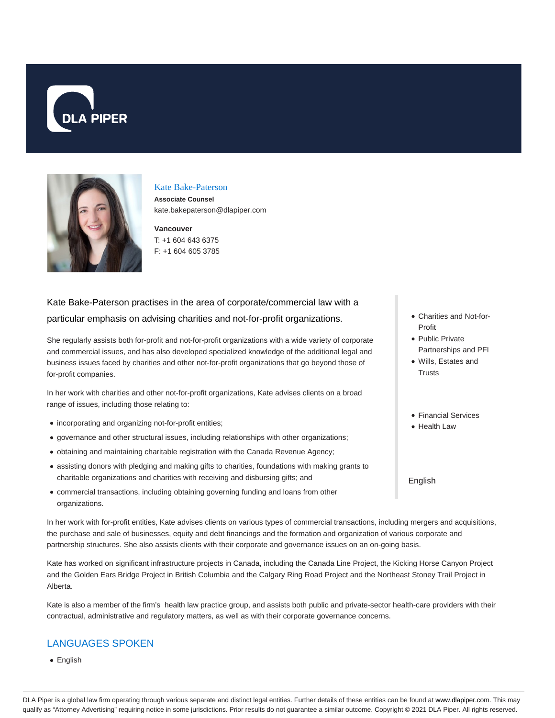



### Kate Bake-Paterson

**Associate Counsel** kate.bakepaterson@dlapiper.com

**Vancouver** T: +1 604 643 6375 F: +1 604 605 3785

# Kate Bake-Paterson practises in the area of corporate/commercial law with a particular emphasis on advising charities and not-for-profit organizations.

She regularly assists both for-profit and not-for-profit organizations with a wide variety of corporate and commercial issues, and has also developed specialized knowledge of the additional legal and business issues faced by charities and other not-for-profit organizations that go beyond those of for-profit companies.

In her work with charities and other not-for-profit organizations, Kate advises clients on a broad range of issues, including those relating to:

- incorporating and organizing not-for-profit entities;
- governance and other structural issues, including relationships with other organizations;
- obtaining and maintaining charitable registration with the Canada Revenue Agency;
- assisting donors with pledging and making gifts to charities, foundations with making grants to charitable organizations and charities with receiving and disbursing gifts; and
- commercial transactions, including obtaining governing funding and loans from other organizations.

In her work with for-profit entities, Kate advises clients on various types of commercial transactions, including mergers and acquisitions, the purchase and sale of businesses, equity and debt financings and the formation and organization of various corporate and partnership structures. She also assists clients with their corporate and governance issues on an on-going basis.

Kate has worked on significant infrastructure projects in Canada, including the Canada Line Project, the Kicking Horse Canyon Project and the Golden Ears Bridge Project in British Columbia and the Calgary Ring Road Project and the Northeast Stoney Trail Project in Alberta.

Kate is also a member of the firm's health law practice group, and assists both public and private-sector health-care providers with their contractual, administrative and regulatory matters, as well as with their corporate governance concerns.

# LANGUAGES SPOKEN

**•** English

- Charities and Not-for-Profit
- Public Private Partnerships and PFI
- Wills, Estates and **Trusts**
- Financial Services
- Health Law

English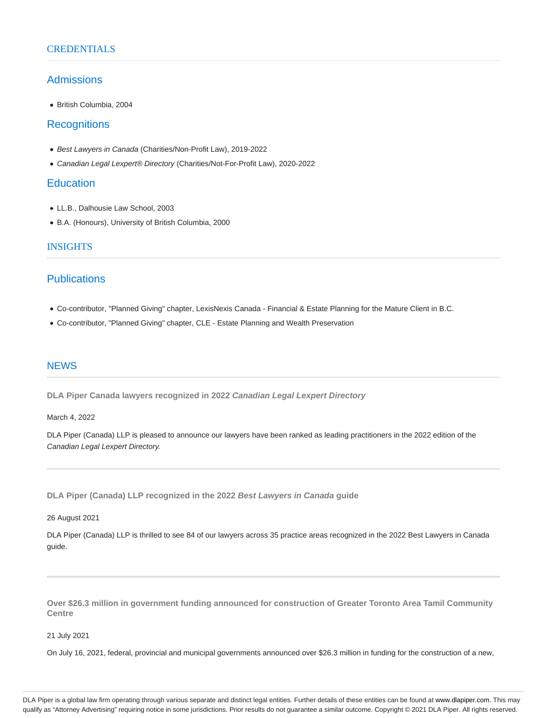### **CREDENTIALS**

### Admissions

British Columbia, 2004

## **Recognitions**

- Best Lawyers in Canada (Charities/Non-Profit Law), 2019-2022
- Canadian Legal Lexpert® Directory (Charities/Not-For-Profit Law), 2020-2022

## **Education**

- LL.B., Dalhousie Law School, 2003
- B.A. (Honours), University of British Columbia, 2000

### INSIGHTS

## **Publications**

- Co-contributor, "Planned Giving" chapter, LexisNexis Canada Financial & Estate Planning for the Mature Client in B.C.
- Co-contributor, "Planned Giving" chapter, CLE Estate Planning and Wealth Preservation

### **NEWS**

**DLA Piper Canada lawyers recognized in 2022 Canadian Legal Lexpert Directory**

#### March 4, 2022

DLA Piper (Canada) LLP is pleased to announce our lawyers have been ranked as leading practitioners in the 2022 edition of the Canadian Legal Lexpert Directory.

**DLA Piper (Canada) LLP recognized in the 2022 Best Lawyers in Canada guide**

26 August 2021

DLA Piper (Canada) LLP is thrilled to see 84 of our lawyers across 35 practice areas recognized in the 2022 Best Lawyers in Canada guide.

**Over \$26.3 million in government funding announced for construction of Greater Toronto Area Tamil Community Centre**

21 July 2021

On July 16, 2021, federal, provincial and municipal governments announced over \$26.3 million in funding for the construction of a new,

DLA Piper is a global law firm operating through various separate and distinct legal entities. Further details of these entities can be found at www.dlapiper.com. This may qualify as "Attorney Advertising" requiring notice in some jurisdictions. Prior results do not guarantee a similar outcome. Copyright © 2021 DLA Piper. All rights reserved.